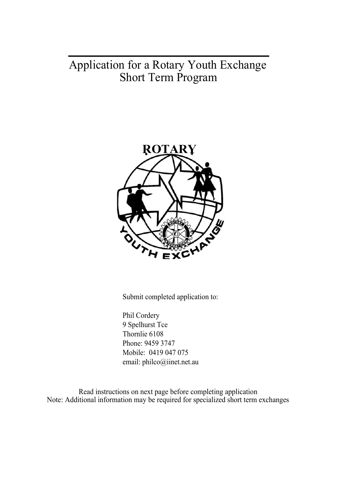# Application for a Rotary Youth Exchange Short Term Program



Submit completed application to:

Phil Cordery 9 Spelhurst Tce Thornlie 6108 Phone: 9459 3747 Mobile: 0419 047 075 email: philco@iinet.net.au

Read instructions on next page before completing application Note: Additional information may be required for specialized short term exchanges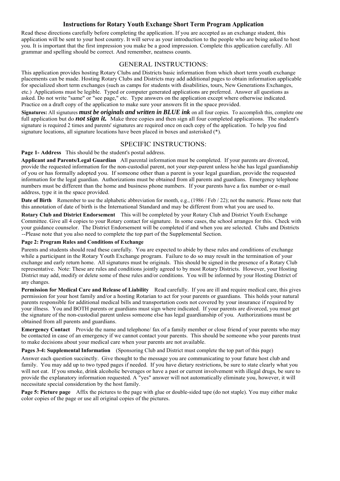## **Instructions for Rotary Youth Exchange Short Term Program Application**

Read these directions carefully before completing the application. If you are accepted as an exchange student, this application will be sent to your host country. It will serve as your introduction to the people who are being asked to host you. It is important that the first impression you make be a good impression. Complete this application carefully. All grammar and spelling should be correct. And remember, neatness counts.

## GENERAL INSTRUCTIONS:

This application provides hosting Rotary Clubs and Districts basic information from which short term youth exchange placements can be made. Hosting Rotary Clubs and Districts may add additional pages to obtain information applicable for specialized short term exchanges (such as camps for students with disabilities, tours, New Generations Exchanges, etc.) Applications must be legible. Typed or computer generated applications are preferred. Answer all questions as asked. Do not write "same" or "see page," etc. Type answers on the application except where otherwise indicated. Practice on a draft copy of the application to make sure your answers fit in the space provided.

**Signatures:** All signatures *must be originals and written in BLUE ink* on all four copies. To accomplish this, complete one full application but do **not sign it.** Make three copies and then sign all four completed applications. The student's signature is required 2 times and parents' signatures are required once on each copy of the application. To help you find signature locations, all signature locations have been placed in boxes and asterisked (\*).

### SPECIFIC INSTRUCTIONS:

**Page 1- Address** This should be the student's postal address.

**Applicant and Parents/Legal Guardian** All parental information must be completed. If your parents are divorced, provide the requested information for the non-custodial parent, not your step-parent unless he/she has legal guardianship of you or has formally adopted you. If someone other than a parent is your legal guardian, provide the requested information for the legal guardian. Authorizations must be obtained from all parents and guardians. Emergency telephone numbers must be different than the home and business phone numbers. If your parents have a fax number or e-mail address, type it in the space provided.

**Date of Birth** Remember to use the alphabetic abbreviation for month, e.g., (1986 / Feb / 22); not the numeric. Please note that this annotation of date of birth is the International Standard and may be different from what you are used to.

**Rotary Club and District Endorsement** This will be completed by your Rotary Club and District Youth Exchange Committee. Give all 4 copies to your Rotary contact for signature. In some cases, the school arranges for this. Check with your guidance counselor. The District Endorsement will be completed if and when you are selected. Clubs and Districts --Please note that you also need to complete the top part of the Supplemental Section.

### **Page 2: Program Rules and Conditions of Exchange**

Parents and students should read these carefully. You are expected to abide by these rules and conditions of exchange while a participant in the Rotary Youth Exchange program. Failure to do so may result in the termination of your exchange and early return home. All signatures must be originals. This should be signed in the presence of a Rotary Club representative. Note: These are rules and conditions jointly agreed to by most Rotary Districts. However, your Hosting District may add, modify or delete some of these rules and/or conditions. You will be informed by your Hosting District of any changes.

**Permission for Medical Care and Release of Liability** Read carefully. If you are ill and require medical care, this gives permission for your host family and/or a hosting Rotarian to act for your parents or guardians. This holds your natural parents responsible for additional medical bills and transportation costs not covered by your insurance if required by your illness. You and BOTH parents or guardians must sign where indicated. If your parents are divorced, you must get the signature of the non-custodial parent unless someone else has legal guardianship of you. Authorizations must be obtained from all parents and guardians.

**Emergency Contact** Provide the name and telephone/ fax of a family member or close friend of your parents who may be contacted in case of an emergency if we cannot contact your parents. This should be someone who your parents trust to make decisions about your medical care when your parents are not available.

**Pages 3-4: Supplemental Information** (Sponsoring Club and District must complete the top part of this page)

Answer each question succinctly. Give thought to the message you are communicating to your future host club and family. You may add up to two typed pages if needed. If you have dietary restrictions, be sure to state clearly what you will not eat. If you smoke, drink alcoholic beverages or have a past or current involvement with illegal drugs, be sure to provide the explanatory information requested. A "yes" answer will not automatically eliminate you, however, it will necessitate special consideration by the host family.

**Page 5: Picture page** Affix the pictures to the page with glue or double-sided tape (do not staple). You may either make color copies of the page or use all original copies of the pictures.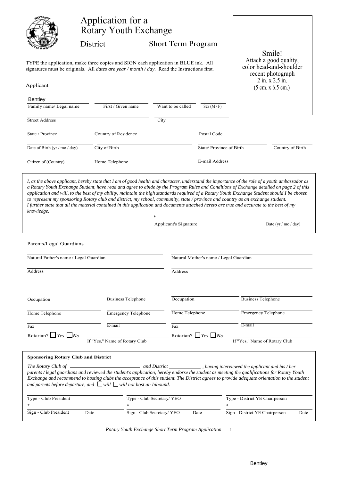|                                                                                                                                                                                                         | Application for a<br><b>Rotary Youth Exchange</b><br>District                                                                                                                                                                                                                                                                                                                                                                                                                                                                                                                                                                                                                                                             | <b>Short Term Program</b> |                         |  |                                                                                                                          |
|---------------------------------------------------------------------------------------------------------------------------------------------------------------------------------------------------------|---------------------------------------------------------------------------------------------------------------------------------------------------------------------------------------------------------------------------------------------------------------------------------------------------------------------------------------------------------------------------------------------------------------------------------------------------------------------------------------------------------------------------------------------------------------------------------------------------------------------------------------------------------------------------------------------------------------------------|---------------------------|-------------------------|--|--------------------------------------------------------------------------------------------------------------------------|
| TYPE the application, make three copies and SIGN each application in BLUE ink. All<br>signatures must be originals. All <i>dates are year / month / day</i> . Read the Instructions first.<br>Applicant |                                                                                                                                                                                                                                                                                                                                                                                                                                                                                                                                                                                                                                                                                                                           |                           |                         |  | Smile!<br>Attach a good quality,<br>color head-and-shoulder<br>recent photograph<br>2 in. x 2.5 in.<br>(5 cm. x 6.5 cm.) |
| Bentley                                                                                                                                                                                                 |                                                                                                                                                                                                                                                                                                                                                                                                                                                                                                                                                                                                                                                                                                                           |                           |                         |  |                                                                                                                          |
| Family name/ Legal name                                                                                                                                                                                 | First / Given name                                                                                                                                                                                                                                                                                                                                                                                                                                                                                                                                                                                                                                                                                                        | Want to be called         | Sex $(M / F)$           |  |                                                                                                                          |
| <b>Street Address</b>                                                                                                                                                                                   |                                                                                                                                                                                                                                                                                                                                                                                                                                                                                                                                                                                                                                                                                                                           | City                      |                         |  |                                                                                                                          |
| State / Province                                                                                                                                                                                        | Country of Residence                                                                                                                                                                                                                                                                                                                                                                                                                                                                                                                                                                                                                                                                                                      |                           | Postal Code             |  |                                                                                                                          |
| Date of Birth (yr / mo / day)                                                                                                                                                                           | City of Birth                                                                                                                                                                                                                                                                                                                                                                                                                                                                                                                                                                                                                                                                                                             |                           | State/Province of Birth |  | Country of Birth                                                                                                         |
| Citizen of (Country)                                                                                                                                                                                    | Home Telephone                                                                                                                                                                                                                                                                                                                                                                                                                                                                                                                                                                                                                                                                                                            |                           | E-mail Address          |  |                                                                                                                          |
| knowledge.                                                                                                                                                                                              | I, as the above applicant, hereby state that I am of good health and character, understand the importance of the role of a youth ambassador as<br>a Rotary Youth Exchange Student, have read and agree to abide by the Program Rules and Conditions of Exchange detailed on page 2 of this<br>application and will, to the best of my ability, maintain the high standards required of a Rotary Youth Exchange Student should I be chosen<br>to represent my sponsoring Rotary club and district, my school, community, state / province and country as an exchange student.<br>I further state that all the material contained in this application and documents attached hereto are true and accurate to the best of my |                           |                         |  |                                                                                                                          |

|                                        | Applicant's Signature                  | Date (yr / mo / day) |  |  |
|----------------------------------------|----------------------------------------|----------------------|--|--|
| Parents/Legal Guardians                |                                        |                      |  |  |
| Natural Father's name / Legal Guardian | Natural Mother's name / Legal Guardian |                      |  |  |
| <b>Address</b>                         | Address                                |                      |  |  |

*\**

| Occupation                     | <b>Business Telephone</b>     | Occupation         | <b>Business Telephone</b>     |
|--------------------------------|-------------------------------|--------------------|-------------------------------|
| Home Telephone                 | <b>Emergency Telephone</b>    | Home Telephone     | <b>Emergency Telephone</b>    |
| Fax                            | E-mail                        | Fax                | E-mail                        |
| Rotarian? $\Box$ Yes $\Box$ No | If "Yes," Name of Rotary Club | Rotarian? $Yes$ No | If "Yes," Name of Rotary Club |

| <b>Sponsoring Rotary Club and District</b>                                                                                                                                                                                                                                                                                                                                  |                                                 |
|-----------------------------------------------------------------------------------------------------------------------------------------------------------------------------------------------------------------------------------------------------------------------------------------------------------------------------------------------------------------------------|-------------------------------------------------|
| parents / legal guardians and reviewed the student's application, hereby endorse the student as meeting the qualifications for Rotary Youth<br>Exchange and recommend to hosting clubs the acceptance of this student. The District agrees to provide adequate orientation to the student<br>and parents before departure, and $\Box$ will $\Box$ will not host an Inbound. | having interviewed the applicant and his / her, |

| Type - Club President |      | Type - Club Secretary/ YEO |      | Type - District YE Chairperson |      |
|-----------------------|------|----------------------------|------|--------------------------------|------|
|                       |      |                            |      |                                |      |
| Sign - Club President | Date | Sign - Club Secretary/ YEO | Date | Sign - District YE Chairperson | Date |

*Rotary Youth Exchange Short Term Program Application* -1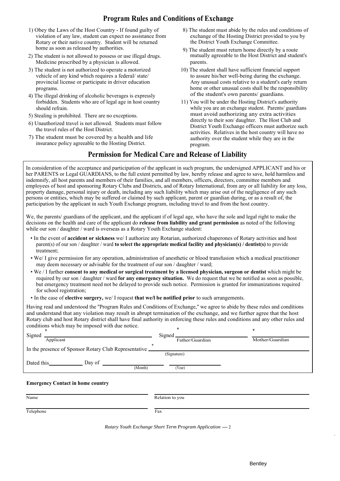# **Program Rules and Conditions of Exchange**

- 1) Obey the Laws of the Host Country If found guilty of 8) The student must abide by the rules and conditions of violation of any law, student can expect no assistance from Rotary or their native country. Student will be returned home as soon as released by authorities. 9) The student must return home directly by a route
- 2) The student is not allowed to possess or use illegal drugs. mutually agreeable to the Host District and student's Medicine prescribed by a physician is allowed. parents.
- 3) The student is not authorized to operate a motorized 10) The student shall have sufficient financial support vehicle of any kind which requires a federal/ state/ provincial license or participate in driver education programs.
- 4) The illegal drinking of alcoholic beverages is expressly forbidden. Students who are of legal age in host country 11) You will be under the Hosting District's authority should refrain.
- 5) Stealing is prohibited. There are no exceptions.
- 6) Unauthorized travel is not allowed. Students must follow the travel rules of the Host District.
- 7) The student must be covered by a health and life insurance policy agreeable to the Hosting District.
- exchange of the Hosting District provided to you by the District Youth Exchange Committee.
- 
- to assure his/her well-being during the exchange. Any unusual costs relative to a student's early return home or other unusual costs shall be the responsibility of the student's own parents/ guardians.
- while you are an exchange student. Parents/ guardians must avoid authorizing any extra activities directly to their son/ daughter. The Host Club and District Youth Exchange officers must authorize such activities. Relatives in the host country will have no authority over the student while they are in the program.

# **Permission for Medical Care and Release of Liability**

In consideration of the acceptance and participation of the applicant in such program, the undersigned APPLICANT and his or her PARENTS or Legal GUARDIANS, to the full extent permitted by law, hereby release and agree to save, hold harmless and indemnify, all host parents and members of their families, and all members, officers, directors, committee members and employees of host and sponsoring Rotary Clubs and Districts, and of Rotary International, from any or all liability for any loss, property damage, personal injury or death, including any such liability which may arise out of the negligence of any such persons or entities, which may be suffered or claimed by such applicant, parent or guardian during, or as a result of, the participation by the applicant in such Youth Exchange program, including travel to and from the host country.

We, the parents/ guardians of the applicant, and the applicant if of legal age, who have the sole and legal right to make the decisions on the health and care of the applicant do **release from liability and grant permission** as noted of the following while our son / daughter / ward is overseas as a Rotary Youth Exchange student:

- In the event of **accident or sickness** we/ I authorize any Rotarian, authorized chaperones of Rotary activities and host parent(s) of our son / daughter / ward **to select the appropriate medical facility and physician(s) / dentist(s)** to provide treatment;
- We/ I give permission for any operation, administration of anesthetic or blood transfusion which a medical practitioner may deem necessary or advisable for the treatment of our son / daughter / ward;
- We / I further **consent to any medical or surgical treatment by a licensed physician, surgeon or dentist** which might be required by our son / daughter / ward **for any emergency situation.** We do request that we be notified as soon as possible, but emergency treatment need not be delayed to provide such notice. Permission is granted for immunizations required for school registration;
- In the case of **elective surgery,** we/ I request **that we/l be notified prior** to such arrangements.

Having read and understood the ''Program Rules and Conditions of Exchange,'' we agree to abide by these rules and conditions and understand that any violation may result in abrupt termination of the exchange, and we further agree that the host Rotary club and host Rotary district shall have final authority in enforcing these rules and conditions and any other rules and conditions which may be imposed with due notice.

| ż<br>Signed                                              | Signed.         | $\ast$          |
|----------------------------------------------------------|-----------------|-----------------|
| Applicant                                                | Father/Guardian | Mother/Guardian |
| In the presence of Sponsor Rotary Club Representative __ |                 |                 |
|                                                          | (Signature)     |                 |
| Day of<br>Dated this                                     |                 |                 |
| (Month)                                                  | (Year)          |                 |

### **Emergency Contact in home country**

| Name      | Relation to you |
|-----------|-----------------|
| Telephone | Fax             |

*Rotary Youth Exchange Short Term Program Application* – 2

*-*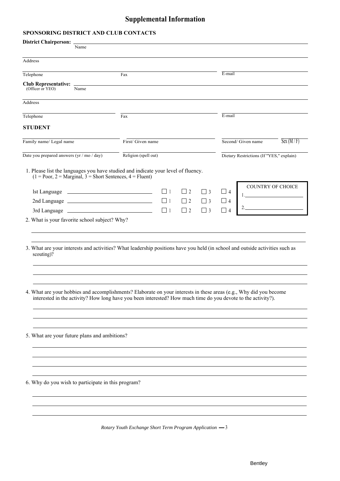# **Supplemental Information**

## **SPONSORING DISTRICT AND CLUB CONTACTS**

| District Chairperson: _                                                                                                                                                                                                             |      |                      |          |          |          |                                               |                                          |          |
|-------------------------------------------------------------------------------------------------------------------------------------------------------------------------------------------------------------------------------------|------|----------------------|----------|----------|----------|-----------------------------------------------|------------------------------------------|----------|
|                                                                                                                                                                                                                                     | Name |                      |          |          |          |                                               |                                          |          |
| Address                                                                                                                                                                                                                             |      |                      |          |          |          |                                               |                                          |          |
| Telephone                                                                                                                                                                                                                           |      | Fax                  |          |          |          | $E$ -mail                                     |                                          |          |
| Club Representative: -<br>(Officer or YEO)                                                                                                                                                                                          | Name |                      |          |          |          |                                               |                                          |          |
| Address                                                                                                                                                                                                                             |      |                      |          |          |          |                                               |                                          |          |
| Telephone                                                                                                                                                                                                                           |      | Fax                  |          |          |          | E-mail                                        |                                          |          |
| <b>STUDENT</b>                                                                                                                                                                                                                      |      |                      |          |          |          |                                               |                                          |          |
| Family name/ Legal name                                                                                                                                                                                                             |      | First/ Given name    |          |          |          |                                               | Second/ Given name                       | Sex(M/F) |
| Date you prepared answers $(yr / mo / day)$                                                                                                                                                                                         |      | Religion (spell out) |          |          |          |                                               | Dietary Restrictions (If "YES," explain) |          |
| 1. Please list the languages you have studied and indicate your level of fluency.<br>$(1 = Poor, 2 = Marginal, 3 = Short Sentences, 4 = Fluent)$                                                                                    |      |                      |          |          |          |                                               |                                          |          |
|                                                                                                                                                                                                                                     |      |                      | $\Box$ 1 | $\Box$ 2 | $\Box$ 3 | $\begin{array}{ c c c } \hline \end{array}$ 4 | COUNTRY OF CHOICE                        |          |
|                                                                                                                                                                                                                                     |      |                      | $\Box$ 1 | $\Box$ 2 | $\Box$ 3 | $\Box$ 4                                      |                                          |          |
|                                                                                                                                                                                                                                     |      |                      | $\Box$ 1 | $\Box$ 2 | $\Box$ 3 | $\Box$ 4                                      |                                          |          |
| 3. What are your interests and activities? What leadership positions have you held (in school and outside activities such as<br>scouting)?                                                                                          |      |                      |          |          |          |                                               |                                          |          |
| 4. What are your hobbies and accomplishments? Elaborate on your interests in these areas (e.g., Why did you become<br>interested in the activity? How long have you been interested? How much time do you devote to the activity?). |      |                      |          |          |          |                                               |                                          |          |
| 5. What are your future plans and ambitions?                                                                                                                                                                                        |      |                      |          |          |          |                                               |                                          |          |
| 6. Why do you wish to participate in this program?                                                                                                                                                                                  |      |                      |          |          |          |                                               |                                          |          |
|                                                                                                                                                                                                                                     |      |                      |          |          |          |                                               |                                          |          |

*Rotary Youth Exchange Short Term Program Application* - 3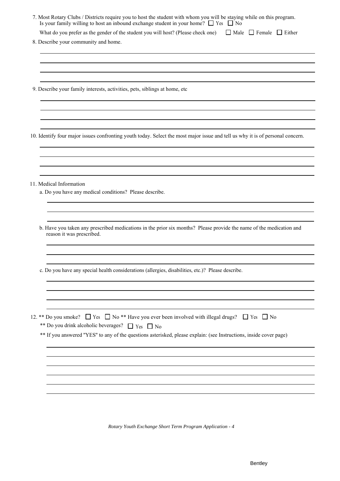| 7. Most Rotary Clubs / Districts require you to host the student with whom you will be staying while on this program.<br>Is your family willing to host an inbound exchange student in your home? $\Box$ Yes $\Box$ No                                                           |
|----------------------------------------------------------------------------------------------------------------------------------------------------------------------------------------------------------------------------------------------------------------------------------|
| What do you prefer as the gender of the student you will host? (Please check one)<br>$\Box$ Male $\Box$ Female $\Box$ Either                                                                                                                                                     |
| 8. Describe your community and home.                                                                                                                                                                                                                                             |
| 9. Describe your family interests, activities, pets, siblings at home, etc                                                                                                                                                                                                       |
|                                                                                                                                                                                                                                                                                  |
| 10. Identify four major issues confronting youth today. Select the most major issue and tell us why it is of personal concern.                                                                                                                                                   |
| 11. Medical Information<br>a. Do you have any medical conditions? Please describe.                                                                                                                                                                                               |
| b. Have you taken any prescribed medications in the prior six months? Please provide the name of the medication and<br>reason it was prescribed.                                                                                                                                 |
| c. Do you have any special health considerations (allergies, disabilities, etc.)? Please describe.                                                                                                                                                                               |
| 12. ** Do you smoke? □ Yes □ No ** Have you ever been involved with illegal drugs? □ Yes □ No<br>** Do you drink alcoholic beverages? $\Box$ Yes $\Box$ No<br>** If you answered "YES" to any of the questions asterisked, please explain: (see Instructions, inside cover page) |
|                                                                                                                                                                                                                                                                                  |

*Rotary Youth Exchange Short Term Program Application - 4*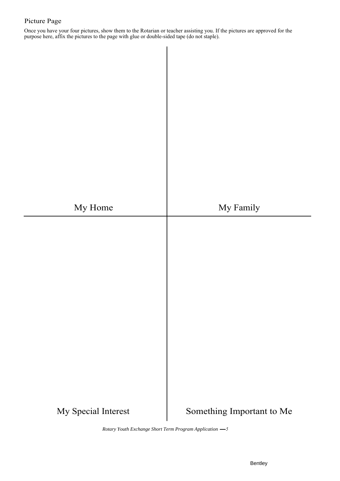## Picture Page

Once you have your four pictures, show them to the Rotarian or teacher assisting you. If the pictures are approved for the purpose here, affix the pictures to the page with glue or double-sided tape (do not staple).

My Home  $\qquad \qquad$  My Family My Special Interest Something Important to Me

*Rotary Youth Exchange Short Term Program Application 5*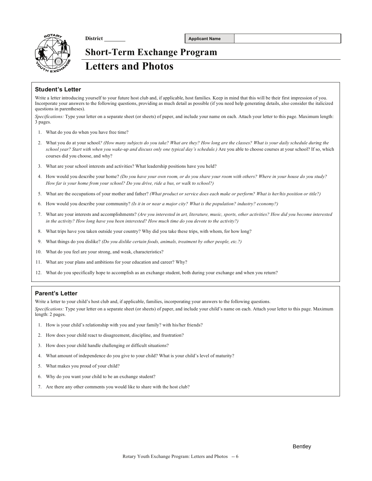

**District Applicant Name** 

# **Short-Term Exchange Program Letters and Photos**

### **Student's Letter**

Write a letter introducing yourself to your future host club and, if applicable, host families. Keep in mind that this will be their first impression of you. Incorporate your answers to the following questions, providing as much detail as possible (if you need help generating details, also consider the italicized questions in parentheses).

*Specifications:* Type your letter on a separate sheet (or sheets) of paper, and include your name on each. Attach your letter to this page. Maximum length: 3 pages.

- 1. What do you do when you have free time?
- 2. What you do at your school*? (How many subjects do you take? What are they? How long are the classes? What is your daily schedule during the school year? Start with when you wake-up and discuss only one typical day's schedule.)* Are you able to choose courses at your school? If so, which courses did you choose, and why?
- 3. What are your school interests and activities? What leadership positions have you held?
- 4. How would you describe your home? *(Do you have your own room, or do you share your room with others? Where in your house do you study? How far is your home from your school? Do you drive, ride a bus, or walk to school?)*
- 5. What are the occupations of your mother and father? *(What product or service does each make or perform? What is her/his position or title?)*
- 6. How would you describe your community? *(Is it in or near a major city? What is the population? industry? economy?)*
- 7. What are your interests and accomplishments? *(Are you interested in art, literature, music, sports, other activities? How did you become interested in the activity? How long have you been interested? How much time do you devote to the activity?)*
- 8. What trips have you taken outside your country? Why did you take these trips, with whom, for how long?
- 9. What things do you dislike? *(Do you dislike certain foods, animals, treatment by other people, etc.?)*
- 10. What do you feel are your strong, and weak, characteristics?
- 11. What are your plans and ambitions for your education and career? Why?
- 12. What do you specifically hope to accomplish as an exchange student, both during your exchange and when you return?

#### **Parent's Letter**

Write a letter to your child's host club and, if applicable, families, incorporating your answers to the following questions.

*Specifications:* Type your letter on a separate sheet (or sheets) of paper, and include your child's name on each. Attach your letter to this page. Maximum length: 2 pages.

- 1. How is your child's relationship with you and your family? with his/her friends?
- 2. How does your child react to disagreement, discipline, and frustration?
- 3. How does your child handle challenging or difficult situations?
- 4. What amount of independence do you give to your child? What is your child's level of maturity?
- 5. What makes you proud of your child?
- 6. Why do you want your child to be an exchange student?
- 7. Are there any other comments you would like to share with the host club?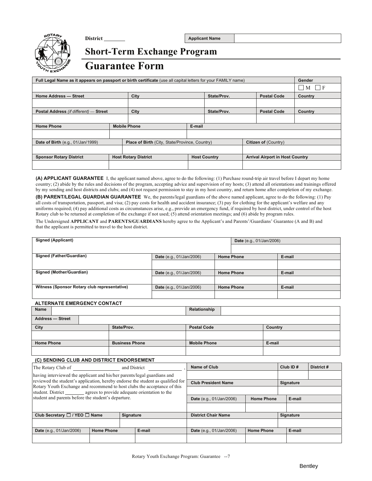

**District Applicant Name** 

# **Short-Term Exchange Program Guarantee Form**

| Full Legal Name as it appears on passport or birth certificate (use all capital letters for your FAMILY name) |  |                                                    |        |                      |  | Gender                                 |                              |
|---------------------------------------------------------------------------------------------------------------|--|----------------------------------------------------|--------|----------------------|--|----------------------------------------|------------------------------|
|                                                                                                               |  |                                                    |        |                      |  |                                        | $\mathsf{F}$<br>$\mathbf{M}$ |
| Home Address - Street                                                                                         |  | City                                               |        | State/Prov.          |  | <b>Postal Code</b>                     | <b>Country</b>               |
|                                                                                                               |  |                                                    |        |                      |  |                                        |                              |
| Postal Address (if different) - Street                                                                        |  | City                                               |        | State/Prov.          |  | <b>Postal Code</b>                     | Country                      |
|                                                                                                               |  |                                                    |        |                      |  |                                        |                              |
| <b>Home Phone</b>                                                                                             |  | <b>Mobile Phone</b>                                | E-mail |                      |  |                                        |                              |
|                                                                                                               |  |                                                    |        |                      |  |                                        |                              |
| Date of Birth (e.g., 01/Jan/1999)                                                                             |  | Place of Birth (City, State/Province, Country)     |        | Citizen of (Country) |  |                                        |                              |
|                                                                                                               |  |                                                    |        |                      |  |                                        |                              |
| <b>Sponsor Rotary District</b>                                                                                |  | <b>Host Rotary District</b><br><b>Host Country</b> |        |                      |  | <b>Arrival Airport in Host Country</b> |                              |
|                                                                                                               |  |                                                    |        |                      |  |                                        |                              |

**(A) APPLICANT GUARANTEE** I, the applicant named above, agree to do the following: (1) Purchase round-trip air travel before I depart my home country; (2) abide by the rules and decisions of the program, accepting advice and supervision of my hosts; (3) attend all orientations and trainings offered by my sending and host districts and clubs; and (4) not request permission to stay in my host country, and return home after completion of my exchange.

**(B) PARENT/LEGAL GUARDIAN GUARANTEE** We, the parents/legal guardians of the above named applicant, agree to do the following: (1) Pay all costs of transportation, passport, and visa; (2) pay costs for health and accident insurance; (3) pay for clothing for the applicant's welfare and any uniforms required; (4) pay additional costs as circumstances arise, e.g., provide an emergency fund, if required by host district, under control of the host Rotary club to be returned at completion of the exchange if not used; (5) attend orientation meetings; and (6) abide by program rules.

The Undersigned **APPLICANT** and **PARENTS/GUARDIANS** hereby agree to the Applicant's and Parents'/Guardians' Guarantee (A and B) and that the applicant is permitted to travel to the host district.

| <b>Signed (Applicant)</b>                    |                                 |                   | <b>Date</b> (e.g., 01/Jan/2006) |        |
|----------------------------------------------|---------------------------------|-------------------|---------------------------------|--------|
|                                              |                                 |                   |                                 |        |
| Signed (Father/Guardian)                     | <b>Date</b> (e.g., 01/Jan/2006) | <b>Home Phone</b> |                                 | E-mail |
|                                              |                                 |                   |                                 |        |
| Signed (Mother/Guardian)                     | <b>Date</b> (e.g., 01/Jan/2006) |                   | <b>Home Phone</b>               | E-mail |
|                                              |                                 |                   |                                 |        |
| Witness (Sponsor Rotary club representative) | <b>Date</b> (e.g., 01/Jan/2006) |                   | <b>Home Phone</b>               | E-mail |
|                                              |                                 |                   |                                 |        |

#### **ALTERNATE EMERGENCY CONTACT**

| <b>Name</b>                                                                                                                                                 |                       | Relationship                                            |         |           |            |  |
|-------------------------------------------------------------------------------------------------------------------------------------------------------------|-----------------------|---------------------------------------------------------|---------|-----------|------------|--|
| <b>Address - Street</b>                                                                                                                                     |                       |                                                         |         |           |            |  |
| City                                                                                                                                                        | State/Prov.           | <b>Postal Code</b>                                      | Country |           |            |  |
|                                                                                                                                                             |                       |                                                         |         |           |            |  |
| <b>Home Phone</b>                                                                                                                                           | <b>Business Phone</b> | <b>Mobile Phone</b>                                     | E-mail  |           |            |  |
|                                                                                                                                                             |                       |                                                         |         |           |            |  |
| (C) SENDING CLUB AND DISTRICT ENDORSEMENT                                                                                                                   |                       |                                                         |         |           |            |  |
| The Rotary Club of                                                                                                                                          | and District          | <b>Name of Club</b>                                     |         | Club ID#  | District # |  |
| having interviewed the applicant and his/her parents/legal guardians and                                                                                    |                       |                                                         |         |           |            |  |
| reviewed the student's application, hereby endorse the student as qualified for<br>Rotary Youth Exchange and recommend to host clubs the acceptance of this |                       | <b>Club President Name</b>                              |         | Signature |            |  |
| student. District agrees to provide adequate orientation to the                                                                                             |                       |                                                         |         |           |            |  |
| student and parents before the student's departure.                                                                                                         |                       | E-mail<br><b>Home Phone</b><br>Date (e.g., 01/Jan/2006) |         |           |            |  |
|                                                                                                                                                             |                       |                                                         |         |           |            |  |

| Club Secretary $\Box$ / YEO $\Box$ Name |                   | <b>Signature</b> |        | <b>District Chair Name</b>      |                   | Signature |        |
|-----------------------------------------|-------------------|------------------|--------|---------------------------------|-------------------|-----------|--------|
|                                         |                   |                  |        |                                 |                   |           |        |
| <b>Date</b> (e.g., 01/Jan/2006)         | <b>Home Phone</b> |                  | E-mail | <b>Date</b> (e.g., 01/Jan/2006) | <b>Home Phone</b> |           | E-mail |
|                                         |                   |                  |        |                                 |                   |           |        |